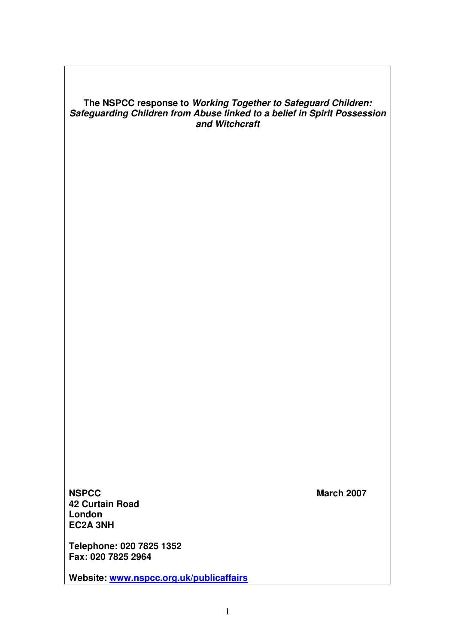# **The NSPCC response to Working Together to Safeguard Children: Safeguarding Children from Abuse linked to a belief in Spirit Possession and Witchcraft**

**NSPCC** March 2007 **42 Curtain Road London EC2A 3NH** 

**Telephone: 020 7825 1352 Fax: 020 7825 2964** 

**Website: www.nspcc.org.uk/publicaffairs**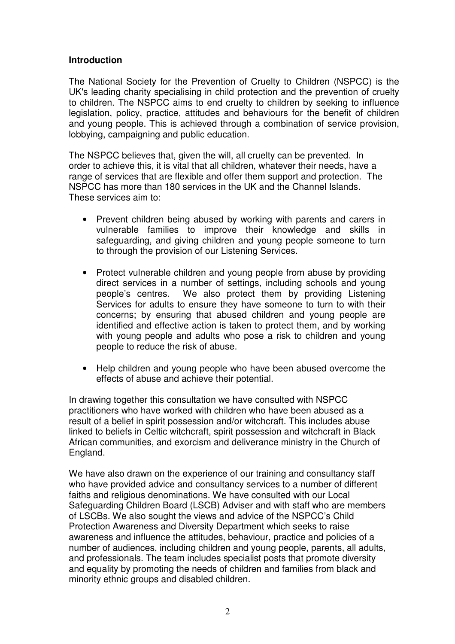## **Introduction**

The National Society for the Prevention of Cruelty to Children (NSPCC) is the UK's leading charity specialising in child protection and the prevention of cruelty to children. The NSPCC aims to end cruelty to children by seeking to influence legislation, policy, practice, attitudes and behaviours for the benefit of children and young people. This is achieved through a combination of service provision, lobbying, campaigning and public education.

The NSPCC believes that, given the will, all cruelty can be prevented. In order to achieve this, it is vital that all children, whatever their needs, have a range of services that are flexible and offer them support and protection. The NSPCC has more than 180 services in the UK and the Channel Islands. These services aim to:

- Prevent children being abused by working with parents and carers in vulnerable families to improve their knowledge and skills in safeguarding, and giving children and young people someone to turn to through the provision of our Listening Services.
- Protect vulnerable children and young people from abuse by providing direct services in a number of settings, including schools and young people's centres. We also protect them by providing Listening Services for adults to ensure they have someone to turn to with their concerns; by ensuring that abused children and young people are identified and effective action is taken to protect them, and by working with young people and adults who pose a risk to children and young people to reduce the risk of abuse.
- Help children and young people who have been abused overcome the effects of abuse and achieve their potential.

In drawing together this consultation we have consulted with NSPCC practitioners who have worked with children who have been abused as a result of a belief in spirit possession and/or witchcraft. This includes abuse linked to beliefs in Celtic witchcraft, spirit possession and witchcraft in Black African communities, and exorcism and deliverance ministry in the Church of England.

We have also drawn on the experience of our training and consultancy staff who have provided advice and consultancy services to a number of different faiths and religious denominations. We have consulted with our Local Safeguarding Children Board (LSCB) Adviser and with staff who are members of LSCBs. We also sought the views and advice of the NSPCC's Child Protection Awareness and Diversity Department which seeks to raise awareness and influence the attitudes, behaviour, practice and policies of a number of audiences, including children and young people, parents, all adults, and professionals. The team includes specialist posts that promote diversity and equality by promoting the needs of children and families from black and minority ethnic groups and disabled children.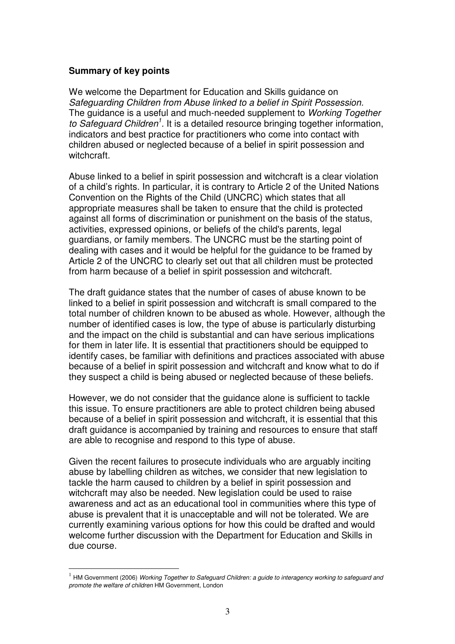### **Summary of key points**

 $\overline{a}$ 

We welcome the Department for Education and Skills guidance on Safeguarding Children from Abuse linked to a belief in Spirit Possession. The guidance is a useful and much-needed supplement to Working Together to Safeguard Children<sup>1</sup>. It is a detailed resource bringing together information, indicators and best practice for practitioners who come into contact with children abused or neglected because of a belief in spirit possession and witchcraft.

Abuse linked to a belief in spirit possession and witchcraft is a clear violation of a child's rights. In particular, it is contrary to Article 2 of the United Nations Convention on the Rights of the Child (UNCRC) which states that all appropriate measures shall be taken to ensure that the child is protected against all forms of discrimination or punishment on the basis of the status, activities, expressed opinions, or beliefs of the child's parents, legal guardians, or family members. The UNCRC must be the starting point of dealing with cases and it would be helpful for the guidance to be framed by Article 2 of the UNCRC to clearly set out that all children must be protected from harm because of a belief in spirit possession and witchcraft.

The draft guidance states that the number of cases of abuse known to be linked to a belief in spirit possession and witchcraft is small compared to the total number of children known to be abused as whole. However, although the number of identified cases is low, the type of abuse is particularly disturbing and the impact on the child is substantial and can have serious implications for them in later life. It is essential that practitioners should be equipped to identify cases, be familiar with definitions and practices associated with abuse because of a belief in spirit possession and witchcraft and know what to do if they suspect a child is being abused or neglected because of these beliefs.

However, we do not consider that the guidance alone is sufficient to tackle this issue. To ensure practitioners are able to protect children being abused because of a belief in spirit possession and witchcraft, it is essential that this draft guidance is accompanied by training and resources to ensure that staff are able to recognise and respond to this type of abuse.

Given the recent failures to prosecute individuals who are arguably inciting abuse by labelling children as witches, we consider that new legislation to tackle the harm caused to children by a belief in spirit possession and witchcraft may also be needed. New legislation could be used to raise awareness and act as an educational tool in communities where this type of abuse is prevalent that it is unacceptable and will not be tolerated. We are currently examining various options for how this could be drafted and would welcome further discussion with the Department for Education and Skills in due course.

 $^1$  HM Government (2006) Working Together to Safeguard Children: a guide to interagency working to safeguard and promote the welfare of children HM Government, London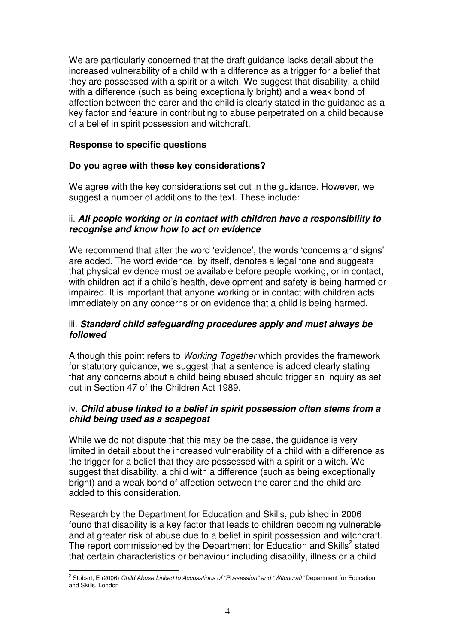We are particularly concerned that the draft guidance lacks detail about the increased vulnerability of a child with a difference as a trigger for a belief that they are possessed with a spirit or a witch. We suggest that disability, a child with a difference (such as being exceptionally bright) and a weak bond of affection between the carer and the child is clearly stated in the guidance as a key factor and feature in contributing to abuse perpetrated on a child because of a belief in spirit possession and witchcraft.

# **Response to specific questions**

l.

# **Do you agree with these key considerations?**

We agree with the key considerations set out in the guidance. However, we suggest a number of additions to the text. These include:

### ii. **All people working or in contact with children have a responsibility to recognise and know how to act on evidence**

We recommend that after the word 'evidence', the words 'concerns and signs' are added. The word evidence, by itself, denotes a legal tone and suggests that physical evidence must be available before people working, or in contact, with children act if a child's health, development and safety is being harmed or impaired. It is important that anyone working or in contact with children acts immediately on any concerns or on evidence that a child is being harmed.

## iii. **Standard child safeguarding procedures apply and must always be followed**

Although this point refers to Working Together which provides the framework for statutory guidance, we suggest that a sentence is added clearly stating that any concerns about a child being abused should trigger an inquiry as set out in Section 47 of the Children Act 1989.

# iv. **Child abuse linked to a belief in spirit possession often stems from a child being used as a scapegoat**

While we do not dispute that this may be the case, the guidance is very limited in detail about the increased vulnerability of a child with a difference as the trigger for a belief that they are possessed with a spirit or a witch. We suggest that disability, a child with a difference (such as being exceptionally bright) and a weak bond of affection between the carer and the child are added to this consideration.

Research by the Department for Education and Skills, published in 2006 found that disability is a key factor that leads to children becoming vulnerable and at greater risk of abuse due to a belief in spirit possession and witchcraft. The report commissioned by the Department for Education and Skills<sup>2</sup> stated that certain characteristics or behaviour including disability, illness or a child

<sup>&</sup>lt;sup>2</sup> Stobart, E (2006) *Child Abuse Linked to Accusations of "Possession" and "Witchcraft" Department for Education* and Skills, London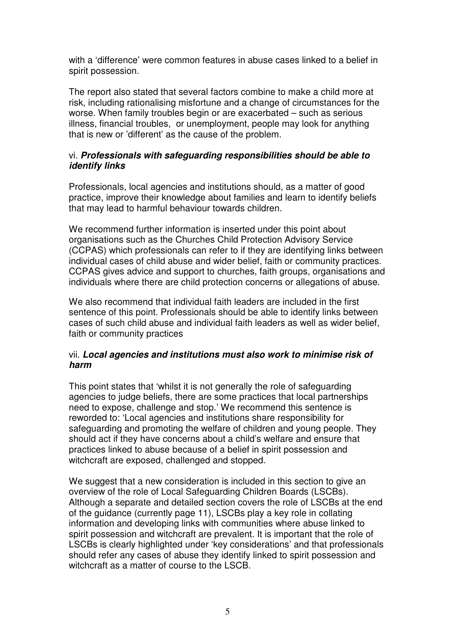with a 'difference' were common features in abuse cases linked to a belief in spirit possession.

The report also stated that several factors combine to make a child more at risk, including rationalising misfortune and a change of circumstances for the worse. When family troubles begin or are exacerbated – such as serious illness, financial troubles, or unemployment, people may look for anything that is new or 'different' as the cause of the problem.

## vi. **Professionals with safeguarding responsibilities should be able to identify links**

Professionals, local agencies and institutions should, as a matter of good practice, improve their knowledge about families and learn to identify beliefs that may lead to harmful behaviour towards children.

We recommend further information is inserted under this point about organisations such as the Churches Child Protection Advisory Service (CCPAS) which professionals can refer to if they are identifying links between individual cases of child abuse and wider belief, faith or community practices. CCPAS gives advice and support to churches, faith groups, organisations and individuals where there are child protection concerns or allegations of abuse.

We also recommend that individual faith leaders are included in the first sentence of this point. Professionals should be able to identify links between cases of such child abuse and individual faith leaders as well as wider belief, faith or community practices

### vii. **Local agencies and institutions must also work to minimise risk of harm**

This point states that 'whilst it is not generally the role of safeguarding agencies to judge beliefs, there are some practices that local partnerships need to expose, challenge and stop.' We recommend this sentence is reworded to: 'Local agencies and institutions share responsibility for safeguarding and promoting the welfare of children and young people. They should act if they have concerns about a child's welfare and ensure that practices linked to abuse because of a belief in spirit possession and witchcraft are exposed, challenged and stopped.

We suggest that a new consideration is included in this section to give an overview of the role of Local Safeguarding Children Boards (LSCBs). Although a separate and detailed section covers the role of LSCBs at the end of the guidance (currently page 11), LSCBs play a key role in collating information and developing links with communities where abuse linked to spirit possession and witchcraft are prevalent. It is important that the role of LSCBs is clearly highlighted under 'key considerations' and that professionals should refer any cases of abuse they identify linked to spirit possession and witchcraft as a matter of course to the LSCB.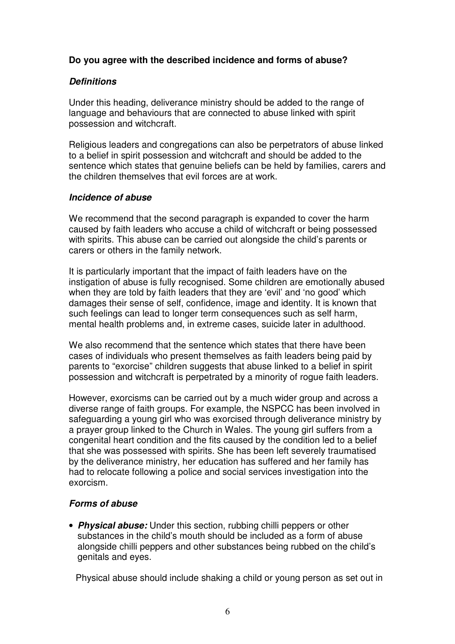# **Do you agree with the described incidence and forms of abuse?**

# **Definitions**

Under this heading, deliverance ministry should be added to the range of language and behaviours that are connected to abuse linked with spirit possession and witchcraft.

Religious leaders and congregations can also be perpetrators of abuse linked to a belief in spirit possession and witchcraft and should be added to the sentence which states that genuine beliefs can be held by families, carers and the children themselves that evil forces are at work.

### **Incidence of abuse**

We recommend that the second paragraph is expanded to cover the harm caused by faith leaders who accuse a child of witchcraft or being possessed with spirits. This abuse can be carried out alongside the child's parents or carers or others in the family network.

It is particularly important that the impact of faith leaders have on the instigation of abuse is fully recognised. Some children are emotionally abused when they are told by faith leaders that they are 'evil' and 'no good' which damages their sense of self, confidence, image and identity. It is known that such feelings can lead to longer term consequences such as self harm, mental health problems and, in extreme cases, suicide later in adulthood.

We also recommend that the sentence which states that there have been cases of individuals who present themselves as faith leaders being paid by parents to "exorcise" children suggests that abuse linked to a belief in spirit possession and witchcraft is perpetrated by a minority of rogue faith leaders.

However, exorcisms can be carried out by a much wider group and across a diverse range of faith groups. For example, the NSPCC has been involved in safeguarding a young girl who was exorcised through deliverance ministry by a prayer group linked to the Church in Wales. The young girl suffers from a congenital heart condition and the fits caused by the condition led to a belief that she was possessed with spirits. She has been left severely traumatised by the deliverance ministry, her education has suffered and her family has had to relocate following a police and social services investigation into the exorcism.

# **Forms of abuse**

• **Physical abuse:** Under this section, rubbing chilli peppers or other substances in the child's mouth should be included as a form of abuse alongside chilli peppers and other substances being rubbed on the child's genitals and eyes.

Physical abuse should include shaking a child or young person as set out in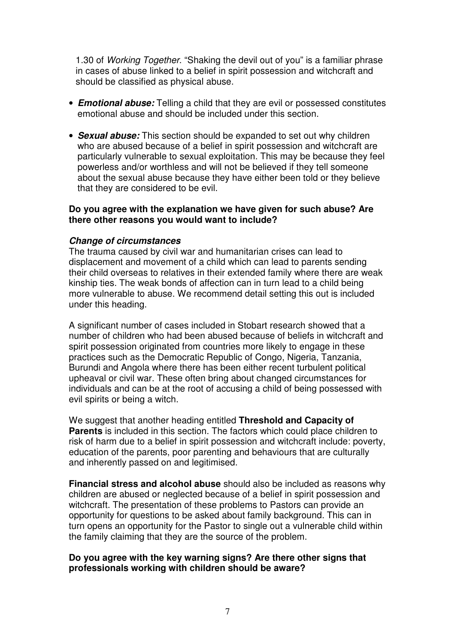1.30 of Working Together. "Shaking the devil out of you" is a familiar phrase in cases of abuse linked to a belief in spirit possession and witchcraft and should be classified as physical abuse.

- **Emotional abuse:** Telling a child that they are evil or possessed constitutes emotional abuse and should be included under this section.
- **Sexual abuse:** This section should be expanded to set out why children who are abused because of a belief in spirit possession and witchcraft are particularly vulnerable to sexual exploitation. This may be because they feel powerless and/or worthless and will not be believed if they tell someone about the sexual abuse because they have either been told or they believe that they are considered to be evil.

### **Do you agree with the explanation we have given for such abuse? Are there other reasons you would want to include?**

### **Change of circumstances**

The trauma caused by civil war and humanitarian crises can lead to displacement and movement of a child which can lead to parents sending their child overseas to relatives in their extended family where there are weak kinship ties. The weak bonds of affection can in turn lead to a child being more vulnerable to abuse. We recommend detail setting this out is included under this heading.

A significant number of cases included in Stobart research showed that a number of children who had been abused because of beliefs in witchcraft and spirit possession originated from countries more likely to engage in these practices such as the Democratic Republic of Congo, Nigeria, Tanzania, Burundi and Angola where there has been either recent turbulent political upheaval or civil war. These often bring about changed circumstances for individuals and can be at the root of accusing a child of being possessed with evil spirits or being a witch.

We suggest that another heading entitled **Threshold and Capacity of Parents** is included in this section. The factors which could place children to risk of harm due to a belief in spirit possession and witchcraft include: poverty, education of the parents, poor parenting and behaviours that are culturally and inherently passed on and legitimised.

**Financial stress and alcohol abuse** should also be included as reasons why children are abused or neglected because of a belief in spirit possession and witchcraft. The presentation of these problems to Pastors can provide an opportunity for questions to be asked about family background. This can in turn opens an opportunity for the Pastor to single out a vulnerable child within the family claiming that they are the source of the problem.

#### **Do you agree with the key warning signs? Are there other signs that professionals working with children should be aware?**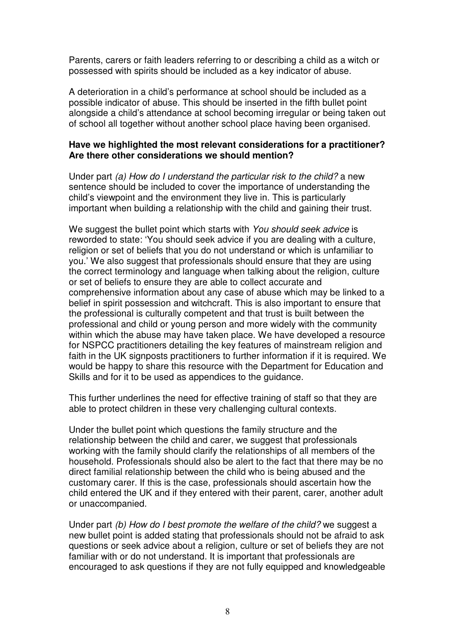Parents, carers or faith leaders referring to or describing a child as a witch or possessed with spirits should be included as a key indicator of abuse.

A deterioration in a child's performance at school should be included as a possible indicator of abuse. This should be inserted in the fifth bullet point alongside a child's attendance at school becoming irregular or being taken out of school all together without another school place having been organised.

### **Have we highlighted the most relevant considerations for a practitioner? Are there other considerations we should mention?**

Under part (a) How do I understand the particular risk to the child? a new sentence should be included to cover the importance of understanding the child's viewpoint and the environment they live in. This is particularly important when building a relationship with the child and gaining their trust.

We suggest the bullet point which starts with You should seek advice is reworded to state: 'You should seek advice if you are dealing with a culture, religion or set of beliefs that you do not understand or which is unfamiliar to you.' We also suggest that professionals should ensure that they are using the correct terminology and language when talking about the religion, culture or set of beliefs to ensure they are able to collect accurate and comprehensive information about any case of abuse which may be linked to a belief in spirit possession and witchcraft. This is also important to ensure that the professional is culturally competent and that trust is built between the professional and child or young person and more widely with the community within which the abuse may have taken place. We have developed a resource for NSPCC practitioners detailing the key features of mainstream religion and faith in the UK signposts practitioners to further information if it is required. We would be happy to share this resource with the Department for Education and Skills and for it to be used as appendices to the guidance.

This further underlines the need for effective training of staff so that they are able to protect children in these very challenging cultural contexts.

Under the bullet point which questions the family structure and the relationship between the child and carer, we suggest that professionals working with the family should clarify the relationships of all members of the household. Professionals should also be alert to the fact that there may be no direct familial relationship between the child who is being abused and the customary carer. If this is the case, professionals should ascertain how the child entered the UK and if they entered with their parent, carer, another adult or unaccompanied.

Under part (b) How do I best promote the welfare of the child? we suggest a new bullet point is added stating that professionals should not be afraid to ask questions or seek advice about a religion, culture or set of beliefs they are not familiar with or do not understand. It is important that professionals are encouraged to ask questions if they are not fully equipped and knowledgeable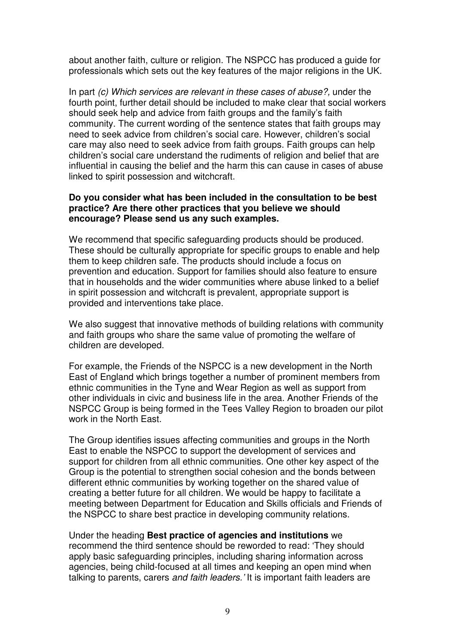about another faith, culture or religion. The NSPCC has produced a guide for professionals which sets out the key features of the major religions in the UK.

In part (c) Which services are relevant in these cases of abuse?, under the fourth point, further detail should be included to make clear that social workers should seek help and advice from faith groups and the family's faith community. The current wording of the sentence states that faith groups may need to seek advice from children's social care. However, children's social care may also need to seek advice from faith groups. Faith groups can help children's social care understand the rudiments of religion and belief that are influential in causing the belief and the harm this can cause in cases of abuse linked to spirit possession and witchcraft.

### **Do you consider what has been included in the consultation to be best practice? Are there other practices that you believe we should encourage? Please send us any such examples.**

We recommend that specific safeguarding products should be produced. These should be culturally appropriate for specific groups to enable and help them to keep children safe. The products should include a focus on prevention and education. Support for families should also feature to ensure that in households and the wider communities where abuse linked to a belief in spirit possession and witchcraft is prevalent, appropriate support is provided and interventions take place.

We also suggest that innovative methods of building relations with community and faith groups who share the same value of promoting the welfare of children are developed.

For example, the Friends of the NSPCC is a new development in the North East of England which brings together a number of prominent members from ethnic communities in the Tyne and Wear Region as well as support from other individuals in civic and business life in the area. Another Friends of the NSPCC Group is being formed in the Tees Valley Region to broaden our pilot work in the North East.

The Group identifies issues affecting communities and groups in the North East to enable the NSPCC to support the development of services and support for children from all ethnic communities. One other key aspect of the Group is the potential to strengthen social cohesion and the bonds between different ethnic communities by working together on the shared value of creating a better future for all children. We would be happy to facilitate a meeting between Department for Education and Skills officials and Friends of the NSPCC to share best practice in developing community relations.

Under the heading **Best practice of agencies and institutions** we recommend the third sentence should be reworded to read: 'They should apply basic safeguarding principles, including sharing information across agencies, being child-focused at all times and keeping an open mind when talking to parents, carers and faith leaders.' It is important faith leaders are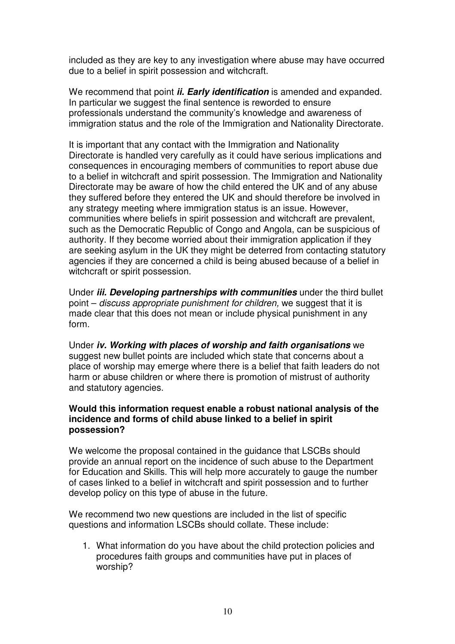included as they are key to any investigation where abuse may have occurred due to a belief in spirit possession and witchcraft.

We recommend that point **ii. Early identification** is amended and expanded. In particular we suggest the final sentence is reworded to ensure professionals understand the community's knowledge and awareness of immigration status and the role of the Immigration and Nationality Directorate.

It is important that any contact with the Immigration and Nationality Directorate is handled very carefully as it could have serious implications and consequences in encouraging members of communities to report abuse due to a belief in witchcraft and spirit possession. The Immigration and Nationality Directorate may be aware of how the child entered the UK and of any abuse they suffered before they entered the UK and should therefore be involved in any strategy meeting where immigration status is an issue. However, communities where beliefs in spirit possession and witchcraft are prevalent, such as the Democratic Republic of Congo and Angola, can be suspicious of authority. If they become worried about their immigration application if they are seeking asylum in the UK they might be deterred from contacting statutory agencies if they are concerned a child is being abused because of a belief in witchcraft or spirit possession.

Under **iii. Developing partnerships with communities** under the third bullet point – discuss appropriate punishment for children, we suggest that it is made clear that this does not mean or include physical punishment in any form.

Under **iv. Working with places of worship and faith organisations** we suggest new bullet points are included which state that concerns about a place of worship may emerge where there is a belief that faith leaders do not harm or abuse children or where there is promotion of mistrust of authority and statutory agencies.

### **Would this information request enable a robust national analysis of the incidence and forms of child abuse linked to a belief in spirit possession?**

We welcome the proposal contained in the guidance that LSCBs should provide an annual report on the incidence of such abuse to the Department for Education and Skills. This will help more accurately to gauge the number of cases linked to a belief in witchcraft and spirit possession and to further develop policy on this type of abuse in the future.

We recommend two new questions are included in the list of specific questions and information LSCBs should collate. These include:

1. What information do you have about the child protection policies and procedures faith groups and communities have put in places of worship?